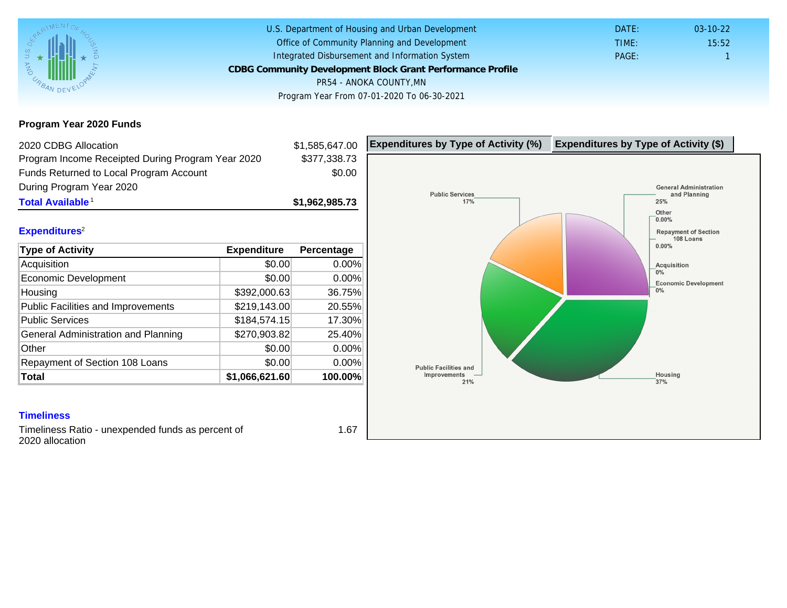Program Year 2020 Funds

| 2020 CDBG Allocation                              |                | \$1,585,647.00 | Expenditures by Type of Activity (%) | Expenditure |
|---------------------------------------------------|----------------|----------------|--------------------------------------|-------------|
| Program Income Receipted During Program Year 2020 |                | \$377,338.73   |                                      |             |
| Funds Returned to Local Program Account           |                | \$0.00         |                                      |             |
| During Program Year 2020                          |                |                |                                      |             |
| Total Available <sup>1</sup>                      |                | \$1,962,985.73 |                                      |             |
|                                                   |                |                |                                      |             |
| Expenditures <sup>2</sup>                         |                |                |                                      |             |
| Type of Activity                                  | Expenditure    | Percentage     |                                      |             |
| Acquisition                                       | \$0.00         | 0.00%          |                                      |             |
| Economic Development                              | \$0.00         | $0.00\%$       |                                      |             |
| Housing                                           | \$392,000.63   | 36.75%         |                                      |             |
| Public Facilities and Improvements                | \$219,143.00   | 20.55%         |                                      |             |
| <b>Public Services</b>                            | \$184,574.15   | 17.30%         |                                      |             |
| General Administration and Planning               | \$270,903.82   | 25.40%         |                                      |             |
| Other                                             | \$0.00         | 0.00%          |                                      |             |
| Repayment of Section 108 Loans                    | \$0.00         | 0.00%          |                                      |             |
| Total                                             | \$1,066,621.60 | 100.00%        |                                      |             |

### **Timeliness**

Timeliness Ratio - unexpended funds as percent of 2020 allocation

1.67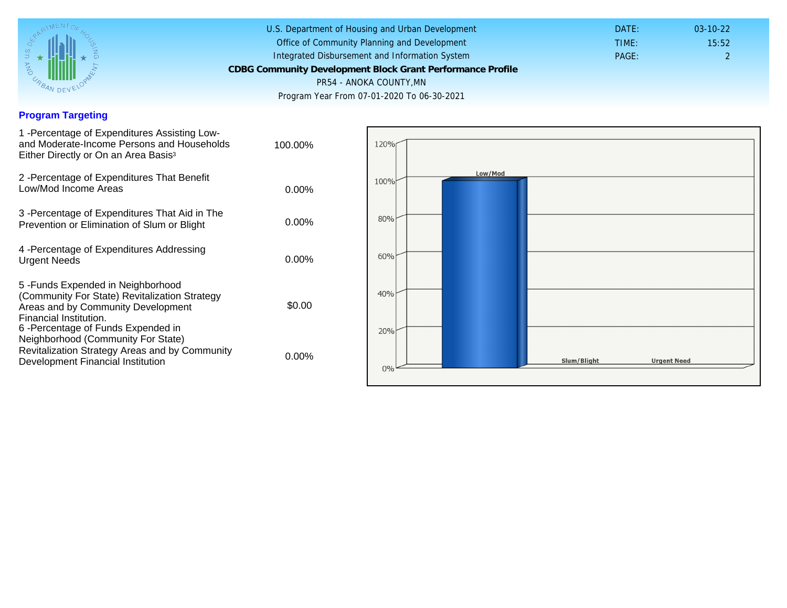## Program Targeting

| 1 - Percentage of Expenditures Assisting Low-<br>and Moderate-Income Persons and Households<br>Either Directly or On an Area Basis <sup>3</sup>                                                                              | 100.00%  |  |
|------------------------------------------------------------------------------------------------------------------------------------------------------------------------------------------------------------------------------|----------|--|
| 2 - Percentage of Expenditures That Benefit<br>Low/Mod Income Areas                                                                                                                                                          | $0.00\%$ |  |
| 3 -Percentage of Expenditures That Aid in The<br>Prevention or Elimination of Slum or Blight                                                                                                                                 | $0.00\%$ |  |
| 4 - Percentage of Expenditures Addressing<br><b>Urgent Needs</b>                                                                                                                                                             | $0.00\%$ |  |
| 5-Funds Expended in Neighborhood<br>(Community For State) Revitalization Strategy<br>Areas and by Community Development<br>Financial Institution.<br>6-Percentage of Funds Expended in<br>Neighborhood (Community For State) | \$0.00   |  |
| Revitalization Strategy Areas and by Community<br>Development Financial Institution                                                                                                                                          | $0.00\%$ |  |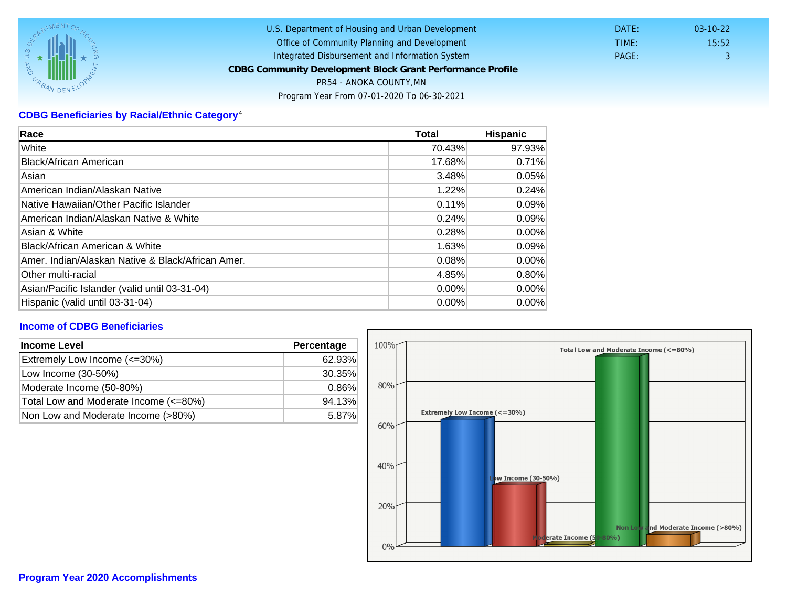# CDBG Beneficiaries by Racial/Ethnic Category <sup>4</sup>

| Race                                              | Total    | Hispanic |
|---------------------------------------------------|----------|----------|
| White                                             | 70.43%   | 97.93%   |
| Black/African American                            | 17.68%   | 0.71%    |
| Asian                                             | 3.48%    | 0.05%    |
| American Indian/Alaskan Native                    | 1.22%    | 0.24%    |
| lNative Hawaiian/Other Pacific Islander           | 0.11%    | 0.09%    |
| American Indian/Alaskan Native & White            | 0.24%    | 0.09%    |
| Asian & White                                     | 0.28%    | 0.00%    |
| Black/African American & White                    | 1.63%    | 0.09%    |
| Amer. Indian/Alaskan Native & Black/African Amer. | 0.08%    | $0.00\%$ |
| Other multi-racial                                | 4.85%    | 0.80%    |
| Asian/Pacific Islander (valid until 03-31-04)     | $0.00\%$ | $0.00\%$ |
| Hispanic (valid until 03-31-04)                   | 0.00%    | 0.00%    |

### Income of CDBG Beneficiaries

| Income Level                          | Percentage |  |
|---------------------------------------|------------|--|
| Extremely Low Income (<=30%)          | 62.93%     |  |
| Low Income (30-50%)                   | 30.35%     |  |
| Moderate Income (50-80%)              | 0.86%      |  |
| Total Low and Moderate Income (<=80%) | 94.13%     |  |
| Non Low and Moderate Income (>80%)    | 5.87%      |  |